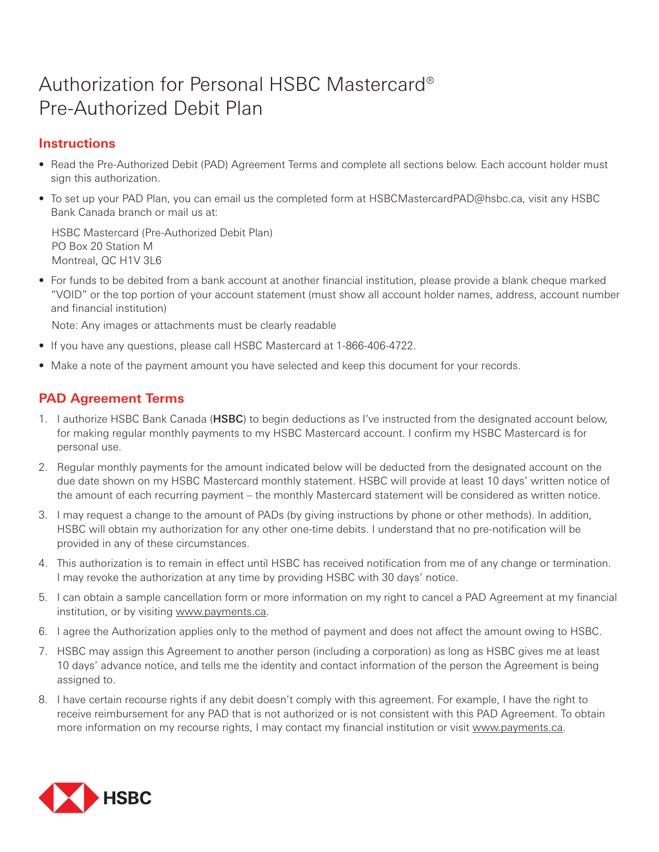# Authorization for Personal HSBC Mastercard® Pre-Authorized Debit Plan

## **Instructions**

- Read the Pre-Authorized Debit (PAD) Agreement Terms and complete all sections below. Each account holder must sign this authorization.
- To set up your PAD Plan, you can email us the completed form at HSBCMastercardPAD@hsbc.ca, visit any HSBC Bank Canada branch or mail us at:

HSBC Mastercard (Pre-Authorized Debit Plan) PO Box 20 Station M Montreal, QC H1V 3L6

• For funds to be debited from a bank account at another financial institution, please provide a blank cheque marked "VOID" or the top portion of your account statement (must show all account holder names, address, account number and financial institution)

Note: Any images or attachments must be clearly readable

- If you have any questions, please call HSBC Mastercard at 1-866-406-4722.
- Make a note of the payment amount you have selected and keep this document for your records.

## **PAD Agreement Terms**

- 1. I authorize HSBC Bank Canada (HSBC) to begin deductions as I've instructed from the designated account below, for making regular monthly payments to my HSBC Mastercard account. I confirm my HSBC Mastercard is for personal use.
- 2. Regular monthly payments for the amount indicated below will be deducted from the designated account on the due date shown on my HSBC Mastercard monthly statement. HSBC will provide at least 10 days' written notice of the amount of each recurring payment – the monthly Mastercard statement will be considered as written notice.
- 3. I may request a change to the amount of PADs (by giving instructions by phone or other methods). In addition, HSBC will obtain my authorization for any other one-time debits. I understand that no pre-notification will be provided in any of these circumstances.
- 4. This authorization is to remain in effect until HSBC has received notification from me of any change or termination. I may revoke the authorization at any time by providing HSBC with 30 days' notice.
- 5. I can obtain a sample cancellation form or more information on my right to cancel a PAD Agreement at my financial institution, or by visiting www.payments.ca.
- 6. I agree the Authorization applies only to the method of payment and does not affect the amount owing to HSBC.
- 7. HSBC may assign this Agreement to another person (including a corporation) as long as HSBC gives me at least 10 days' advance notice, and tells me the identity and contact information of the person the Agreement is being assigned to.
- 8. I have certain recourse rights if any debit doesn't comply with this agreement. For example, I have the right to receive reimbursement for any PAD that is not authorized or is not consistent with this PAD Agreement. To obtain more information on my recourse rights, I may contact my financial institution or visit www.payments.ca.